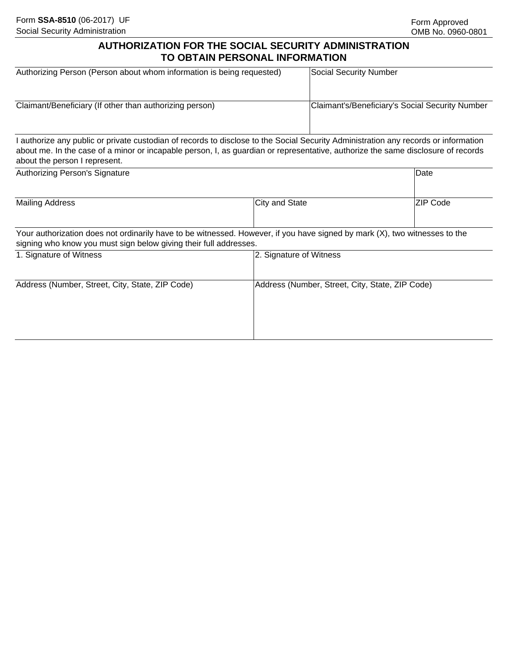## **AUTHORIZATION FOR THE SOCIAL SECURITY ADMINISTRATION TO OBTAIN PERSONAL INFORMATION**

| Authorizing Person (Person about whom information is being requested)                                                                                                                                                                                                                                    | Social Security Number                          |
|----------------------------------------------------------------------------------------------------------------------------------------------------------------------------------------------------------------------------------------------------------------------------------------------------------|-------------------------------------------------|
| Claimant/Beneficiary (If other than authorizing person)                                                                                                                                                                                                                                                  | Claimant's/Beneficiary's Social Security Number |
| I authorize any public or private custodian of records to disclose to the Social Security Administration any records or information<br>about me. In the case of a minor or incapable person, I, as guardian or representative, authorize the same disclosure of records<br>about the person I represent. |                                                 |

| Authorizing Person's Signature                                                                                                                                                                  |                                                 | Date     |
|-------------------------------------------------------------------------------------------------------------------------------------------------------------------------------------------------|-------------------------------------------------|----------|
| <b>Mailing Address</b>                                                                                                                                                                          | City and State                                  | ZIP Code |
| Your authorization does not ordinarily have to be witnessed. However, if you have signed by mark (X), two witnesses to the<br>signing who know you must sign below giving their full addresses. |                                                 |          |
| 1. Signature of Witness                                                                                                                                                                         | 2. Signature of Witness                         |          |
| Address (Number, Street, City, State, ZIP Code)                                                                                                                                                 | Address (Number, Street, City, State, ZIP Code) |          |